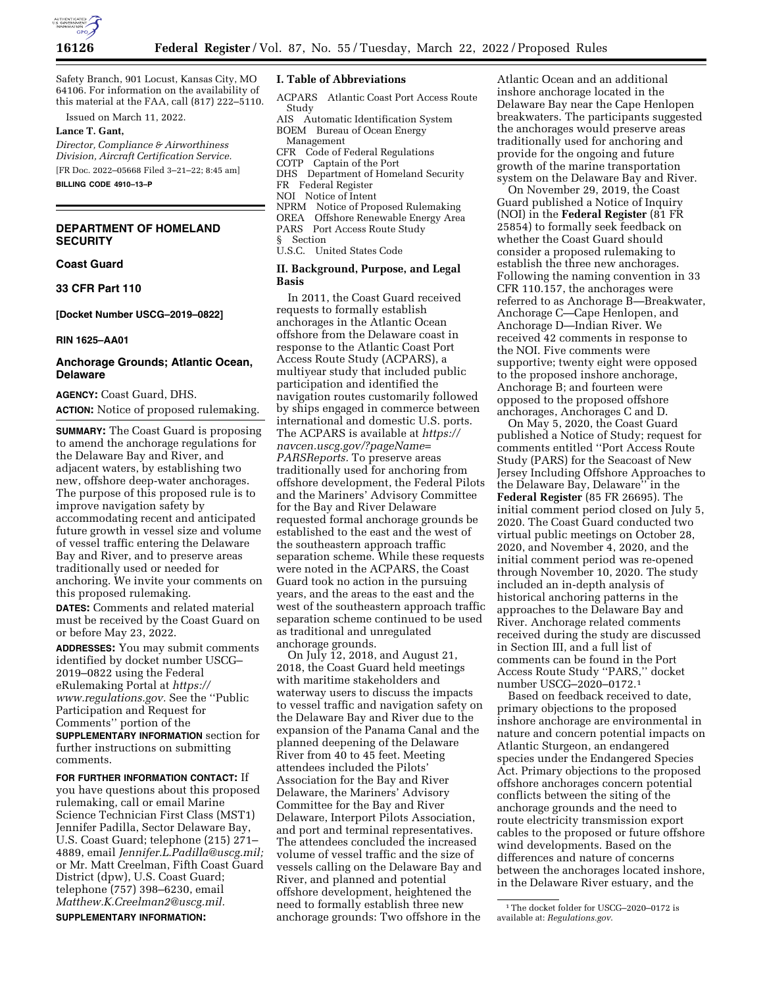

Safety Branch, 901 Locust, Kansas City, MO 64106. For information on the availability of this material at the FAA, call (817) 222–5110.

Issued on March 11, 2022.

### **Lance T. Gant,**

*Director, Compliance & Airworthiness Division, Aircraft Certification Service.*  [FR Doc. 2022–05668 Filed 3–21–22; 8:45 am] **BILLING CODE 4910–13–P** 

## **DEPARTMENT OF HOMELAND SECURITY**

#### **Coast Guard**

**33 CFR Part 110** 

### **[Docket Number USCG–2019–0822]**

## **RIN 1625–AA01**

## **Anchorage Grounds; Atlantic Ocean, Delaware**

**AGENCY:** Coast Guard, DHS. **ACTION:** Notice of proposed rulemaking.

**SUMMARY:** The Coast Guard is proposing to amend the anchorage regulations for the Delaware Bay and River, and adjacent waters, by establishing two new, offshore deep-water anchorages. The purpose of this proposed rule is to improve navigation safety by accommodating recent and anticipated future growth in vessel size and volume of vessel traffic entering the Delaware Bay and River, and to preserve areas traditionally used or needed for anchoring. We invite your comments on this proposed rulemaking.

**DATES:** Comments and related material must be received by the Coast Guard on or before May 23, 2022.

**ADDRESSES:** You may submit comments identified by docket number USCG– 2019–0822 using the Federal eRulemaking Portal at *[https://](https://www.regulations.gov) [www.regulations.gov.](https://www.regulations.gov)* See the ''Public Participation and Request for Comments'' portion of the

**SUPPLEMENTARY INFORMATION** section for further instructions on submitting comments.

## **FOR FURTHER INFORMATION CONTACT:** If

you have questions about this proposed rulemaking, call or email Marine Science Technician First Class (MST1) Jennifer Padilla, Sector Delaware Bay, U.S. Coast Guard; telephone (215) 271– 4889, email *[Jennifer.L.Padilla@uscg.mil;](mailto:Jennifer.L.Padilla@uscg.mil)*  or Mr. Matt Creelman, Fifth Coast Guard District (dpw), U.S. Coast Guard; telephone (757) 398–6230, email *[Matthew.K.Creelman2@uscg.mil.](mailto:Matthew.K.Creelman2@uscg.mil)*  **SUPPLEMENTARY INFORMATION:** 

### **I. Table of Abbreviations**

- ACPARS Atlantic Coast Port Access Route Study
- AIS Automatic Identification System BOEM Bureau of Ocean Energy Management CFR Code of Federal Regulations COTP Captain of the Port DHS Department of Homeland Security FR Federal Register NOI Notice of Intent
- 
- NPRM Notice of Proposed Rulemaking<br>OREA Offshore Renewable Energy Area Offshore Renewable Energy Area
- PARS Port Access Route Study
- § Section

U.S.C. United States Code

## **II. Background, Purpose, and Legal Basis**

In 2011, the Coast Guard received requests to formally establish anchorages in the Atlantic Ocean offshore from the Delaware coast in response to the Atlantic Coast Port Access Route Study (ACPARS), a multiyear study that included public participation and identified the navigation routes customarily followed by ships engaged in commerce between international and domestic U.S. ports. The ACPARS is available at *[https://](https://navcen.uscg.gov/?pageName=PARSReports) [navcen.uscg.gov/?pageName=](https://navcen.uscg.gov/?pageName=PARSReports) [PARSReports.](https://navcen.uscg.gov/?pageName=PARSReports)* To preserve areas traditionally used for anchoring from offshore development, the Federal Pilots and the Mariners' Advisory Committee for the Bay and River Delaware requested formal anchorage grounds be established to the east and the west of the southeastern approach traffic separation scheme. While these requests were noted in the ACPARS, the Coast Guard took no action in the pursuing years, and the areas to the east and the west of the southeastern approach traffic separation scheme continued to be used as traditional and unregulated anchorage grounds.

On July 12, 2018, and August 21, 2018, the Coast Guard held meetings with maritime stakeholders and waterway users to discuss the impacts to vessel traffic and navigation safety on the Delaware Bay and River due to the expansion of the Panama Canal and the planned deepening of the Delaware River from 40 to 45 feet. Meeting attendees included the Pilots' Association for the Bay and River Delaware, the Mariners' Advisory Committee for the Bay and River Delaware, Interport Pilots Association, and port and terminal representatives. The attendees concluded the increased volume of vessel traffic and the size of vessels calling on the Delaware Bay and River, and planned and potential offshore development, heightened the need to formally establish three new anchorage grounds: Two offshore in the

Atlantic Ocean and an additional inshore anchorage located in the Delaware Bay near the Cape Henlopen breakwaters. The participants suggested the anchorages would preserve areas traditionally used for anchoring and provide for the ongoing and future growth of the marine transportation system on the Delaware Bay and River.

On November 29, 2019, the Coast Guard published a Notice of Inquiry (NOI) in the **Federal Register** (81 FR 25854) to formally seek feedback on whether the Coast Guard should consider a proposed rulemaking to establish the three new anchorages. Following the naming convention in 33 CFR 110.157, the anchorages were referred to as Anchorage B—Breakwater, Anchorage C—Cape Henlopen, and Anchorage D—Indian River. We received 42 comments in response to the NOI. Five comments were supportive; twenty eight were opposed to the proposed inshore anchorage, Anchorage B; and fourteen were opposed to the proposed offshore anchorages, Anchorages C and D.

On May 5, 2020, the Coast Guard published a Notice of Study; request for comments entitled ''Port Access Route Study (PARS) for the Seacoast of New Jersey Including Offshore Approaches to the Delaware Bay, Delaware'' in the **Federal Register** (85 FR 26695). The initial comment period closed on July 5, 2020. The Coast Guard conducted two virtual public meetings on October 28, 2020, and November 4, 2020, and the initial comment period was re-opened through November 10, 2020. The study included an in-depth analysis of historical anchoring patterns in the approaches to the Delaware Bay and River. Anchorage related comments received during the study are discussed in Section III, and a full list of comments can be found in the Port Access Route Study ''PARS,'' docket number USCG–2020–0172.1

Based on feedback received to date, primary objections to the proposed inshore anchorage are environmental in nature and concern potential impacts on Atlantic Sturgeon, an endangered species under the Endangered Species Act. Primary objections to the proposed offshore anchorages concern potential conflicts between the siting of the anchorage grounds and the need to route electricity transmission export cables to the proposed or future offshore wind developments. Based on the differences and nature of concerns between the anchorages located inshore, in the Delaware River estuary, and the

<sup>1</sup>The docket folder for USCG–2020–0172 is available at: *Regulations.gov*.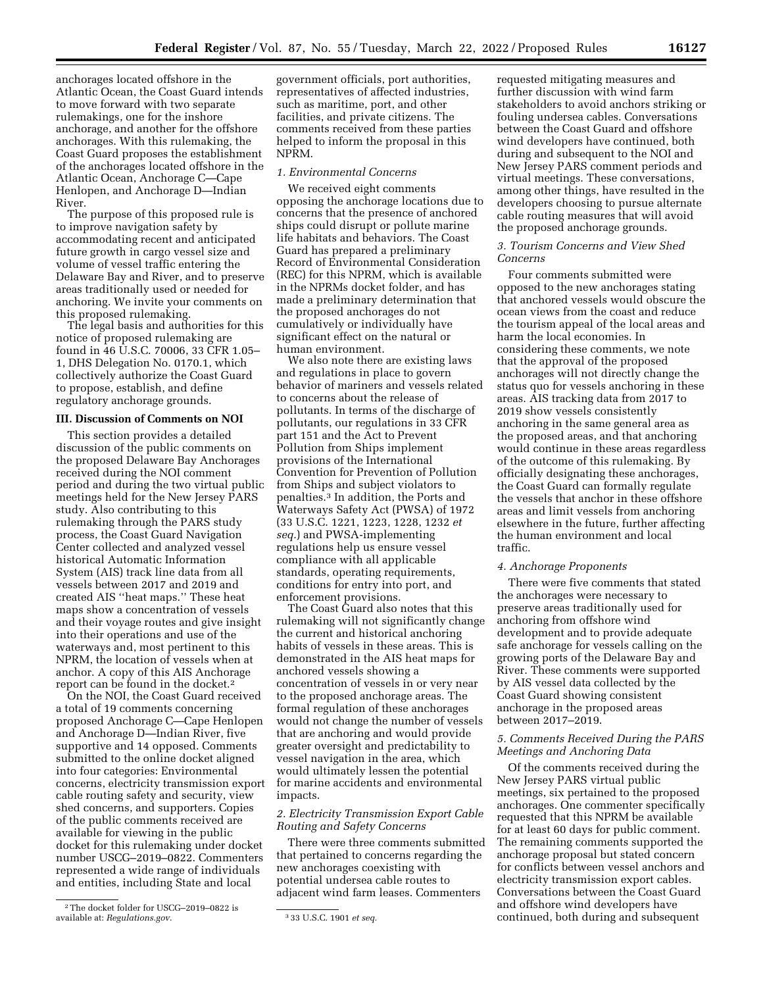anchorages located offshore in the Atlantic Ocean, the Coast Guard intends to move forward with two separate rulemakings, one for the inshore anchorage, and another for the offshore anchorages. With this rulemaking, the Coast Guard proposes the establishment of the anchorages located offshore in the Atlantic Ocean, Anchorage C—Cape Henlopen, and Anchorage D—Indian River.

The purpose of this proposed rule is to improve navigation safety by accommodating recent and anticipated future growth in cargo vessel size and volume of vessel traffic entering the Delaware Bay and River, and to preserve areas traditionally used or needed for anchoring. We invite your comments on this proposed rulemaking.

The legal basis and authorities for this notice of proposed rulemaking are found in 46 U.S.C. 70006, 33 CFR 1.05– 1, DHS Delegation No. 0170.1, which collectively authorize the Coast Guard to propose, establish, and define regulatory anchorage grounds.

# **III. Discussion of Comments on NOI**

This section provides a detailed discussion of the public comments on the proposed Delaware Bay Anchorages received during the NOI comment period and during the two virtual public meetings held for the New Jersey PARS study. Also contributing to this rulemaking through the PARS study process, the Coast Guard Navigation Center collected and analyzed vessel historical Automatic Information System (AIS) track line data from all vessels between 2017 and 2019 and created AIS ''heat maps.'' These heat maps show a concentration of vessels and their voyage routes and give insight into their operations and use of the waterways and, most pertinent to this NPRM, the location of vessels when at anchor. A copy of this AIS Anchorage report can be found in the docket.2

On the NOI, the Coast Guard received a total of 19 comments concerning proposed Anchorage C—Cape Henlopen and Anchorage D—Indian River, five supportive and 14 opposed. Comments submitted to the online docket aligned into four categories: Environmental concerns, electricity transmission export cable routing safety and security, view shed concerns, and supporters. Copies of the public comments received are available for viewing in the public docket for this rulemaking under docket number USCG–2019–0822. Commenters represented a wide range of individuals and entities, including State and local

government officials, port authorities, representatives of affected industries, such as maritime, port, and other facilities, and private citizens. The comments received from these parties helped to inform the proposal in this NPRM.

# *1. Environmental Concerns*

We received eight comments opposing the anchorage locations due to concerns that the presence of anchored ships could disrupt or pollute marine life habitats and behaviors. The Coast Guard has prepared a preliminary Record of Environmental Consideration (REC) for this NPRM, which is available in the NPRMs docket folder, and has made a preliminary determination that the proposed anchorages do not cumulatively or individually have significant effect on the natural or human environment.

We also note there are existing laws and regulations in place to govern behavior of mariners and vessels related to concerns about the release of pollutants. In terms of the discharge of pollutants, our regulations in 33 CFR part 151 and the Act to Prevent Pollution from Ships implement provisions of the International Convention for Prevention of Pollution from Ships and subject violators to penalties.3 In addition, the Ports and Waterways Safety Act (PWSA) of 1972 (33 U.S.C. 1221, 1223, 1228, 1232 *et seq.*) and PWSA-implementing regulations help us ensure vessel compliance with all applicable standards, operating requirements, conditions for entry into port, and enforcement provisions.

The Coast Guard also notes that this rulemaking will not significantly change the current and historical anchoring habits of vessels in these areas. This is demonstrated in the AIS heat maps for anchored vessels showing a concentration of vessels in or very near to the proposed anchorage areas. The formal regulation of these anchorages would not change the number of vessels that are anchoring and would provide greater oversight and predictability to vessel navigation in the area, which would ultimately lessen the potential for marine accidents and environmental impacts.

## *2. Electricity Transmission Export Cable Routing and Safety Concerns*

There were three comments submitted that pertained to concerns regarding the new anchorages coexisting with potential undersea cable routes to adjacent wind farm leases. Commenters

requested mitigating measures and further discussion with wind farm stakeholders to avoid anchors striking or fouling undersea cables. Conversations between the Coast Guard and offshore wind developers have continued, both during and subsequent to the NOI and New Jersey PARS comment periods and virtual meetings. These conversations, among other things, have resulted in the developers choosing to pursue alternate cable routing measures that will avoid the proposed anchorage grounds.

# *3. Tourism Concerns and View Shed Concerns*

Four comments submitted were opposed to the new anchorages stating that anchored vessels would obscure the ocean views from the coast and reduce the tourism appeal of the local areas and harm the local economies. In considering these comments, we note that the approval of the proposed anchorages will not directly change the status quo for vessels anchoring in these areas. AIS tracking data from 2017 to 2019 show vessels consistently anchoring in the same general area as the proposed areas, and that anchoring would continue in these areas regardless of the outcome of this rulemaking. By officially designating these anchorages, the Coast Guard can formally regulate the vessels that anchor in these offshore areas and limit vessels from anchoring elsewhere in the future, further affecting the human environment and local traffic.

## *4. Anchorage Proponents*

There were five comments that stated the anchorages were necessary to preserve areas traditionally used for anchoring from offshore wind development and to provide adequate safe anchorage for vessels calling on the growing ports of the Delaware Bay and River. These comments were supported by AIS vessel data collected by the Coast Guard showing consistent anchorage in the proposed areas between 2017–2019.

## *5. Comments Received During the PARS Meetings and Anchoring Data*

Of the comments received during the New Jersey PARS virtual public meetings, six pertained to the proposed anchorages. One commenter specifically requested that this NPRM be available for at least 60 days for public comment. The remaining comments supported the anchorage proposal but stated concern for conflicts between vessel anchors and electricity transmission export cables. Conversations between the Coast Guard and offshore wind developers have continued, both during and subsequent

<sup>2</sup>The docket folder for USCG–2019–0822 is available at: *Regulations.gov*. 3 33 U.S.C. 1901 *et seq.*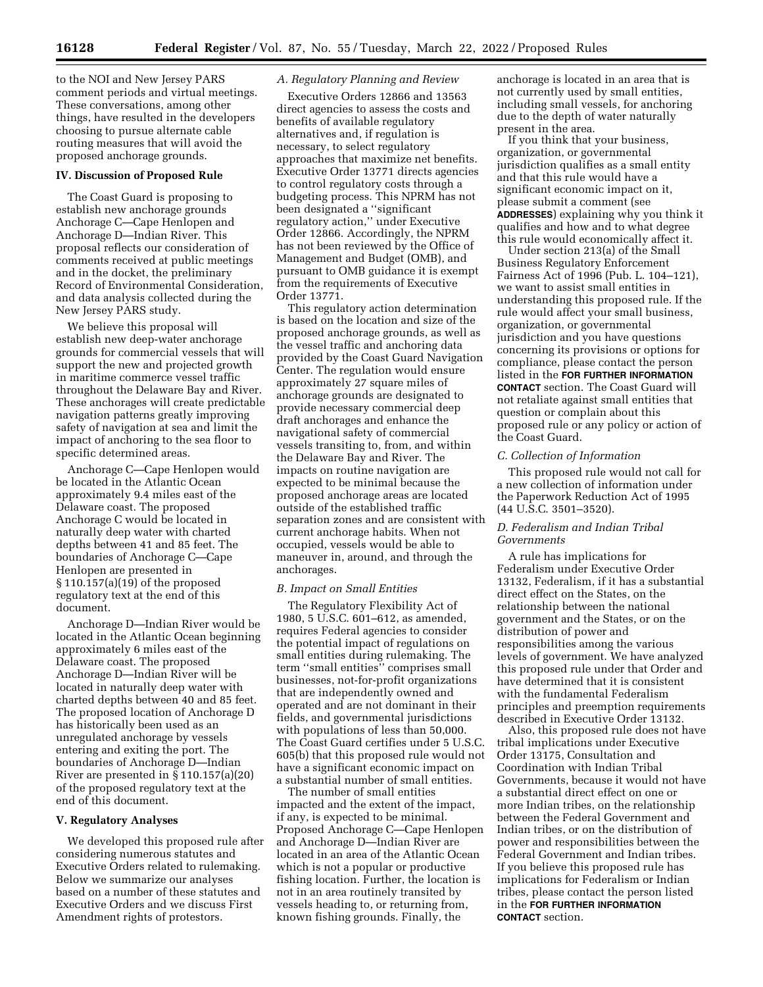to the NOI and New Jersey PARS comment periods and virtual meetings. These conversations, among other things, have resulted in the developers choosing to pursue alternate cable routing measures that will avoid the proposed anchorage grounds.

### **IV. Discussion of Proposed Rule**

The Coast Guard is proposing to establish new anchorage grounds Anchorage C—Cape Henlopen and Anchorage D—Indian River. This proposal reflects our consideration of comments received at public meetings and in the docket, the preliminary Record of Environmental Consideration, and data analysis collected during the New Jersey PARS study.

We believe this proposal will establish new deep-water anchorage grounds for commercial vessels that will support the new and projected growth in maritime commerce vessel traffic throughout the Delaware Bay and River. These anchorages will create predictable navigation patterns greatly improving safety of navigation at sea and limit the impact of anchoring to the sea floor to specific determined areas.

Anchorage C—Cape Henlopen would be located in the Atlantic Ocean approximately 9.4 miles east of the Delaware coast. The proposed Anchorage C would be located in naturally deep water with charted depths between 41 and 85 feet. The boundaries of Anchorage C—Cape Henlopen are presented in § 110.157(a)(19) of the proposed regulatory text at the end of this document.

Anchorage D—Indian River would be located in the Atlantic Ocean beginning approximately 6 miles east of the Delaware coast. The proposed Anchorage D—Indian River will be located in naturally deep water with charted depths between 40 and 85 feet. The proposed location of Anchorage D has historically been used as an unregulated anchorage by vessels entering and exiting the port. The boundaries of Anchorage D—Indian River are presented in § 110.157(a)(20) of the proposed regulatory text at the end of this document.

## **V. Regulatory Analyses**

We developed this proposed rule after considering numerous statutes and Executive Orders related to rulemaking. Below we summarize our analyses based on a number of these statutes and Executive Orders and we discuss First Amendment rights of protestors.

### *A. Regulatory Planning and Review*

Executive Orders 12866 and 13563 direct agencies to assess the costs and benefits of available regulatory alternatives and, if regulation is necessary, to select regulatory approaches that maximize net benefits. Executive Order 13771 directs agencies to control regulatory costs through a budgeting process. This NPRM has not been designated a ''significant regulatory action,'' under Executive Order 12866. Accordingly, the NPRM has not been reviewed by the Office of Management and Budget (OMB), and pursuant to OMB guidance it is exempt from the requirements of Executive Order 13771.

This regulatory action determination is based on the location and size of the proposed anchorage grounds, as well as the vessel traffic and anchoring data provided by the Coast Guard Navigation Center. The regulation would ensure approximately 27 square miles of anchorage grounds are designated to provide necessary commercial deep draft anchorages and enhance the navigational safety of commercial vessels transiting to, from, and within the Delaware Bay and River. The impacts on routine navigation are expected to be minimal because the proposed anchorage areas are located outside of the established traffic separation zones and are consistent with current anchorage habits. When not occupied, vessels would be able to maneuver in, around, and through the anchorages.

### *B. Impact on Small Entities*

The Regulatory Flexibility Act of 1980, 5 U.S.C. 601–612, as amended, requires Federal agencies to consider the potential impact of regulations on small entities during rulemaking. The term ''small entities'' comprises small businesses, not-for-profit organizations that are independently owned and operated and are not dominant in their fields, and governmental jurisdictions with populations of less than 50,000. The Coast Guard certifies under 5 U.S.C. 605(b) that this proposed rule would not have a significant economic impact on a substantial number of small entities.

The number of small entities impacted and the extent of the impact, if any, is expected to be minimal. Proposed Anchorage C—Cape Henlopen and Anchorage D—Indian River are located in an area of the Atlantic Ocean which is not a popular or productive fishing location. Further, the location is not in an area routinely transited by vessels heading to, or returning from, known fishing grounds. Finally, the

anchorage is located in an area that is not currently used by small entities, including small vessels, for anchoring due to the depth of water naturally present in the area.

If you think that your business, organization, or governmental jurisdiction qualifies as a small entity and that this rule would have a significant economic impact on it, please submit a comment (see **ADDRESSES**) explaining why you think it qualifies and how and to what degree this rule would economically affect it.

Under section 213(a) of the Small Business Regulatory Enforcement Fairness Act of 1996 (Pub. L. 104–121), we want to assist small entities in understanding this proposed rule. If the rule would affect your small business, organization, or governmental jurisdiction and you have questions concerning its provisions or options for compliance, please contact the person listed in the **FOR FURTHER INFORMATION CONTACT** section. The Coast Guard will not retaliate against small entities that question or complain about this proposed rule or any policy or action of the Coast Guard.

#### *C. Collection of Information*

This proposed rule would not call for a new collection of information under the Paperwork Reduction Act of 1995 (44 U.S.C. 3501–3520).

## *D. Federalism and Indian Tribal Governments*

A rule has implications for Federalism under Executive Order 13132, Federalism, if it has a substantial direct effect on the States, on the relationship between the national government and the States, or on the distribution of power and responsibilities among the various levels of government. We have analyzed this proposed rule under that Order and have determined that it is consistent with the fundamental Federalism principles and preemption requirements described in Executive Order 13132.

Also, this proposed rule does not have tribal implications under Executive Order 13175, Consultation and Coordination with Indian Tribal Governments, because it would not have a substantial direct effect on one or more Indian tribes, on the relationship between the Federal Government and Indian tribes, or on the distribution of power and responsibilities between the Federal Government and Indian tribes. If you believe this proposed rule has implications for Federalism or Indian tribes, please contact the person listed in the **FOR FURTHER INFORMATION CONTACT** section.